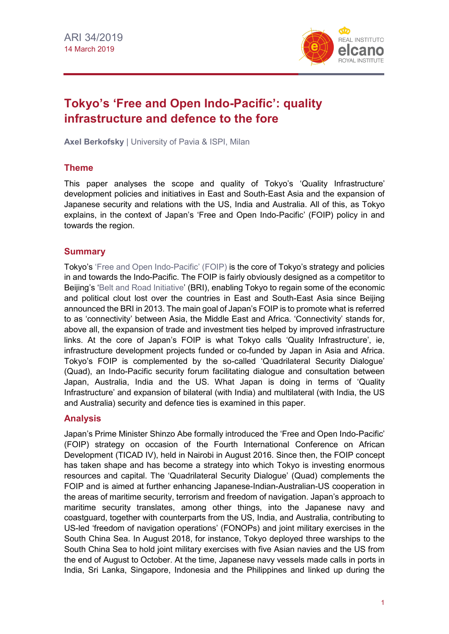

# **Tokyo's 'Free and Open Indo-Pacific': quality infrastructure and defence to the fore**

**Axel Berkofsky** | University of Pavia & ISPI, Milan

### **Theme**

This paper analyses the scope and quality of Tokyo's 'Quality Infrastructure' development policies and initiatives in East and South-East Asia and the expansion of Japanese security and relations with the US, India and Australia. All of this, as Tokyo explains, in the context of Japan's 'Free and Open Indo-Pacific' (FOIP) policy in and towards the region.

### **Summary**

Tokyo's ['Free and Open Indo-Pacific' \(FOIP\)](https://www.sydney.au.emb-japan.go.jp/document/english/Indo-PacificStrategy.PDF) is the core of Tokyo's strategy and policies in and towards the Indo-Pacific. The FOIP is fairly obviously designed as a competitor to Beijing's ['Belt and Road Initiative'](http://www.realinstitutoelcano.org/wps/portal/rielcano_en/contenido?WCM_GLOBAL_CONTEXT=/elcano/elcano_in/zonas_in/ari23-2015-esteban-oteroiglesias-what-are-prospects-for-new-chinese-led-silk-road-and-asian-infrastructure-investment-bank) (BRI), enabling Tokyo to regain some of the economic and political clout lost over the countries in East and South-East Asia since Beijing announced the BRI in 2013. The main goal of Japan's FOIP is to promote what is referred to as 'connectivity' between Asia, the Middle East and Africa. 'Connectivity' stands for, above all, the expansion of trade and investment ties helped by improved infrastructure links. At the core of Japan's FOIP is what Tokyo calls 'Quality Infrastructure', ie, infrastructure development projects funded or co-funded by Japan in Asia and Africa. Tokyo's FOIP is complemented by the so-called 'Quadrilateral Security Dialogue' (Quad), an Indo-Pacific security forum facilitating dialogue and consultation between Japan, Australia, India and the US. What Japan is doing in terms of 'Quality Infrastructure' and expansion of bilateral (with India) and multilateral (with India, the US and Australia) security and defence ties is examined in this paper.

#### **Analysis**

Japan's Prime Minister Shinzo Abe formally introduced the 'Free and Open Indo-Pacific' (FOIP) strategy on occasion of the Fourth International Conference on African Development (TICAD IV), held in Nairobi in August 2016. Since then, the FOIP concept has taken shape and has become a strategy into which Tokyo is investing enormous resources and capital. The 'Quadrilateral Security Dialogue' (Quad) complements the FOIP and is aimed at further enhancing Japanese-Indian-Australian-US cooperation in the areas of maritime security, terrorism and freedom of navigation. Japan's approach to maritime security translates, among other things, into the Japanese navy and coastguard, together with counterparts from the US, India, and Australia, contributing to US-led 'freedom of navigation operations' (FONOPs) and joint military exercises in the South China Sea. In August 2018, for instance, Tokyo deployed three warships to the South China Sea to hold joint military exercises with five Asian navies and the US from the end of August to October. At the time, Japanese navy vessels made calls in ports in India, Sri Lanka, Singapore, Indonesia and the Philippines and linked up during the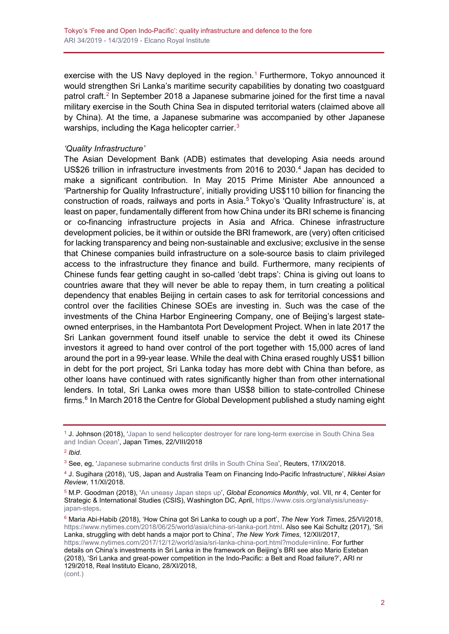exercise with the US Navy deployed in the region.<sup>[1](#page-1-0)</sup> Furthermore, Tokyo announced it would strengthen Sri Lanka's maritime security capabilities by donating two coastguard patrol craft.<sup>[2](#page-1-1)</sup> In September 2018 a Japanese submarine joined for the first time a naval military exercise in the South China Sea in disputed territorial waters (claimed above all by China). At the time, a Japanese submarine was accompanied by other Japanese warships, including the Kaga helicopter carrier. $^3$  $^3$ 

#### *'Quality Infrastructure'*

The Asian Development Bank (ADB) estimates that developing Asia needs around US\$26 trillion in infrastructure investments from 2016 to 2030.<sup>[4](#page-1-3)</sup> Japan has decided to make a significant contribution. In May 2015 Prime Minister Abe announced a 'Partnership for Quality Infrastructure', initially providing US\$110 billion for financing the construction of roads, railways and ports in Asia.<sup>[5](#page-1-4)</sup> Tokyo's 'Quality Infrastructure' is, at least on paper, fundamentally different from how China under its BRI scheme is financing or co-financing infrastructure projects in Asia and Africa. Chinese infrastructure development policies, be it within or outside the BRI framework, are (very) often criticised for lacking transparency and being non-sustainable and exclusive; exclusive in the sense that Chinese companies build infrastructure on a sole-source basis to claim privileged access to the infrastructure they finance and build. Furthermore, many recipients of Chinese funds fear getting caught in so-called 'debt traps': China is giving out loans to countries aware that they will never be able to repay them, in turn creating a political dependency that enables Beijing in certain cases to ask for territorial concessions and control over the facilities Chinese SOEs are investing in. Such was the case of the investments of the China Harbor Engineering Company, one of Beijing's largest stateowned enterprises, in the Hambantota Port Development Project. When in late 2017 the Sri Lankan government found itself unable to service the debt it owed its Chinese investors it agreed to hand over control of the port together with 15,000 acres of land around the port in a 99-year lease. While the deal with China erased roughly US\$1 billion in debt for the port project, Sri Lanka today has more debt with China than before, as other loans have continued with rates significantly higher than from other international lenders. In total, Sri Lanka owes more than US\$8 billion to state-controlled Chinese firms. $6$  In March 2018 the Centre for Global Development published a study naming eight

<span id="page-1-1"></span><sup>2</sup> *Ibid.*

<span id="page-1-0"></span><sup>&</sup>lt;sup>1</sup> J. Johnson (2018), 'Japan to send helicopter destroyer for rare long-term exercise in South China Sea [and Indian Ocean'](https://www.japantimes.co.jp/news/2018/08/22/national/politics-diplomacy/japan-send-three-destroyers-south-china-sea-indian-ocean/), Japan Times, 22/VIII/2018

<span id="page-1-2"></span><sup>&</sup>lt;sup>3</sup> See, eg, ['Japanese submarine conducts first drills in South China Sea'](https://www.reuters.com/article/us-japan-southchinasea-submarine/japanese-submarine-conducts-first-drills-in-south-china-sea-idUSKCN1LX07S), Reuters, 17/IX/2018.

<span id="page-1-3"></span><sup>4</sup> J. Sugihara (2018), 'US, Japan and Australia Team on Financing Indo-Pacific Infrastructure', *Nikkei Asian Review*, 11/XI/2018.

<span id="page-1-4"></span><sup>5</sup> M.P. Goodman (2018), ['An uneasy Japan steps up'](https://www.csis.org/analysis/uneasy-japan-steps), *Global Economics Monthly*, vol. VII, nr 4, Center for Strategic & International Studies (CSIS), Washington DC, April, [https://www.csis.org/analysis/uneasy](https://www.csis.org/analysis/uneasy-japan-steps)[japan-steps.](https://www.csis.org/analysis/uneasy-japan-steps)

<span id="page-1-5"></span><sup>6</sup> Maria Abi-Habib (2018), 'How China got Sri Lanka to cough up a port', *The New York Times*, 25/VI/2018, [https://www.nytimes.com/2018/06/25/world/asia/china-sri-lanka-port.html.](https://www.nytimes.com/2018/06/25/world/asia/china-sri-lanka-port.html) Also see Kai Schultz (2017), 'Sri Lanka, struggling with debt hands a major port to China', *The New York Times*, 12/XII/2017, [https://www.nytimes.com/2017/12/12/world/asia/sri-lanka-china-port.html?module=inline.](https://www.nytimes.com/2017/12/12/world/asia/sri-lanka-china-port.html?module=inline) For further details on China's investments in Sri Lanka in the framework on Beijing's BRI see also Mario Esteban (2018), 'Sri Lanka and great-power competition in the Indo-Pacific: a Belt and Road failure?', ARI nr 129/2018, Real Instituto Elcano, 28/XI/2018, (cont.)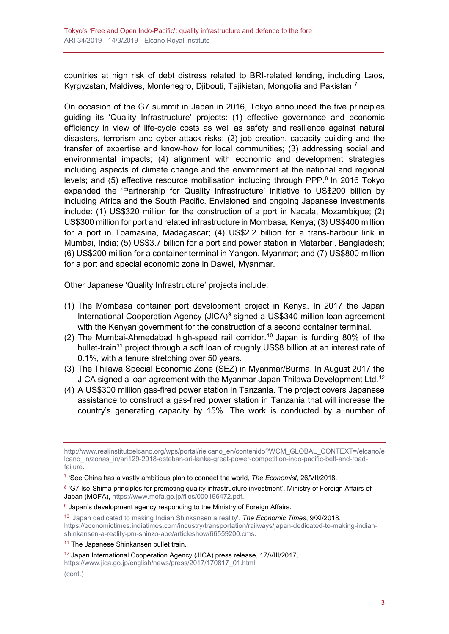countries at high risk of debt distress related to BRI-related lending, including Laos, Kyrgyzstan, Maldives, Montenegro, Djibouti, Tajikistan, Mongolia and Pakistan.<sup>[7](#page-2-0)</sup>

On occasion of the G7 summit in Japan in 2016, Tokyo announced the five principles guiding its 'Quality Infrastructure' projects: (1) effective governance and economic efficiency in view of life-cycle costs as well as safety and resilience against natural disasters, terrorism and cyber-attack risks; (2) job creation, capacity building and the transfer of expertise and know-how for local communities; (3) addressing social and environmental impacts; (4) alignment with economic and development strategies including aspects of climate change and the environment at the national and regional levels; and  $(5)$  effective resource mobilisation including through PPP. $8$  In 2016 Tokyo expanded the 'Partnership for Quality Infrastructure' initiative to US\$200 billion by including Africa and the South Pacific. Envisioned and ongoing Japanese investments include: (1) US\$320 million for the construction of a port in Nacala, Mozambique; (2) US\$300 million for port and related infrastructure in Mombasa, Kenya; (3) US\$400 million for a port in Toamasina, Madagascar; (4) US\$2.2 billion for a trans-harbour link in Mumbai, India; (5) US\$3.7 billion for a port and power station in Matarbari, Bangladesh; (6) US\$200 million for a container terminal in Yangon, Myanmar; and (7) US\$800 million for a port and special economic zone in Dawei, Myanmar.

Other Japanese 'Quality Infrastructure' projects include:

- (1) The Mombasa container port development project in Kenya. In 2017 the Japan International Cooperation Agency (JICA)<sup>[9](#page-2-2)</sup> signed a US\$340 million loan agreement with the Kenyan government for the construction of a second container terminal.
- (2) The Mumbai-Ahmedabad high-speed rail corridor.<sup>[10](#page-2-3)</sup> Japan is funding 80% of the bullet-train<sup>[11](#page-2-4)</sup> project through a soft loan of roughly US\$8 billion at an interest rate of 0.1%, with a tenure stretching over 50 years.
- (3) The Thilawa Special Economic Zone (SEZ) in Myanmar/Burma. In August 2017 the JICA signed a loan agreement with the Myanmar Japan Thilawa Development Ltd.<sup>[12](#page-2-5)</sup>
- (4) A US\$300 million gas-fired power station in Tanzania. The project covers Japanese assistance to construct a gas-fired power station in Tanzania that will increase the country's generating capacity by 15%. The work is conducted by a number of

[http://www.realinstitutoelcano.org/wps/portal/rielcano\\_en/contenido?WCM\\_GLOBAL\\_CONTEXT=/elcano/e](http://www.realinstitutoelcano.org/wps/portal/rielcano_en/contenido?WCM_GLOBAL_CONTEXT=/elcano/elcano_in/zonas_in/ari129-2018-esteban-sri-lanka-great-power-competition-indo-pacific-belt-and-road-failure) [lcano\\_in/zonas\\_in/ari129-2018-esteban-sri-lanka-great-power-competition-indo-pacific-belt-and-road](http://www.realinstitutoelcano.org/wps/portal/rielcano_en/contenido?WCM_GLOBAL_CONTEXT=/elcano/elcano_in/zonas_in/ari129-2018-esteban-sri-lanka-great-power-competition-indo-pacific-belt-and-road-failure)[failure.](http://www.realinstitutoelcano.org/wps/portal/rielcano_en/contenido?WCM_GLOBAL_CONTEXT=/elcano/elcano_in/zonas_in/ari129-2018-esteban-sri-lanka-great-power-competition-indo-pacific-belt-and-road-failure)

<span id="page-2-0"></span><sup>7</sup> 'See China has a vastly ambitious plan to connect the world, *The Economist*, 26/VII/2018.

<span id="page-2-1"></span><sup>8 &#</sup>x27;G7 Ise-Shima principles for promoting quality infrastructure investment', Ministry of Foreign Affairs of Japan (MOFA), [https://www.mofa.go.jp/files/000196472.pdf.](https://www.mofa.go.jp/files/000196472.pdf)

<span id="page-2-2"></span> $9$  Japan's development agency responding to the Ministry of Foreign Affairs.

<span id="page-2-3"></span><sup>10</sup> ['Japan dedicated to making Indian Shinkansen a reality',](https://economictimes.indiatimes.com/industry/transportation/railways/japan-dedicated-to-making-indian-shinkansen-a-reality-pm-shinzo-abe/articleshow/66559200.cms.) *The Economic Times*, 9/XI/2018, [https://economictimes.indiatimes.com/industry/transportation/railways/japan-dedicated-to-making-indian](https://economictimes.indiatimes.com/industry/transportation/railways/japan-dedicated-to-making-indian-shinkansen-a-reality-pm-shinzo-abe/articleshow/66559200.cms)[shinkansen-a-reality-pm-shinzo-abe/articleshow/66559200.cms.](https://economictimes.indiatimes.com/industry/transportation/railways/japan-dedicated-to-making-indian-shinkansen-a-reality-pm-shinzo-abe/articleshow/66559200.cms)

<span id="page-2-4"></span><sup>&</sup>lt;sup>11</sup> The Japanese Shinkansen bullet train.

<span id="page-2-5"></span><sup>&</sup>lt;sup>12</sup> Japan International Cooperation Agency (JICA) press release, 17/VIII/2017,

[https://www.jica.go.jp/english/news/press/2017/170817\\_01.html.](https://www.jica.go.jp/english/news/press/2017/170817_01.html)

<sup>(</sup>cont.)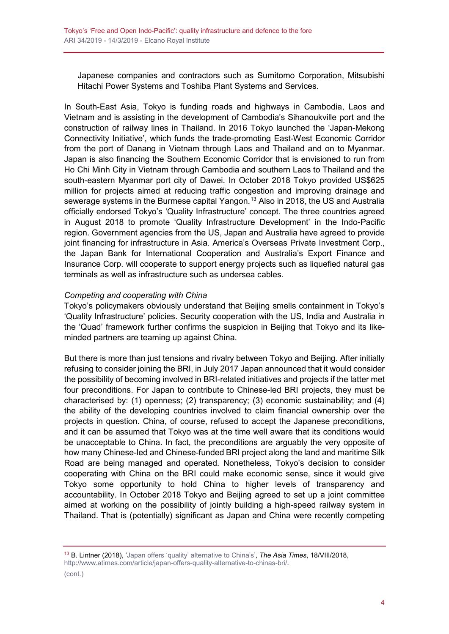Japanese companies and contractors such as Sumitomo Corporation, Mitsubishi Hitachi Power Systems and Toshiba Plant Systems and Services.

In South-East Asia, Tokyo is funding roads and highways in Cambodia, Laos and Vietnam and is assisting in the development of Cambodia's Sihanoukville port and the construction of railway lines in Thailand. In 2016 Tokyo launched the 'Japan-Mekong Connectivity Initiative', which funds the trade-promoting East-West Economic Corridor from the port of Danang in Vietnam through Laos and Thailand and on to Myanmar. Japan is also financing the Southern Economic Corridor that is envisioned to run from Ho Chi Minh City in Vietnam through Cambodia and southern Laos to Thailand and the south-eastern Myanmar port city of Dawei. In October 2018 Tokyo provided US\$625 million for projects aimed at reducing traffic congestion and improving drainage and sewerage systems in the Burmese capital Yangon.<sup>[13](#page-3-0)</sup> Also in 2018, the US and Australia officially endorsed Tokyo's 'Quality Infrastructure' concept. The three countries agreed in August 2018 to promote 'Quality Infrastructure Development' in the Indo-Pacific region. Government agencies from the US, Japan and Australia have agreed to provide joint financing for infrastructure in Asia. America's Overseas Private Investment Corp., the Japan Bank for International Cooperation and Australia's Export Finance and Insurance Corp. will cooperate to support energy projects such as liquefied natural gas terminals as well as infrastructure such as undersea cables.

#### *Competing and cooperating with China*

Tokyo's policymakers obviously understand that Beijing smells containment in Tokyo's 'Quality Infrastructure' policies. Security cooperation with the US, India and Australia in the 'Quad' framework further confirms the suspicion in Beijing that Tokyo and its likeminded partners are teaming up against China.

But there is more than just tensions and rivalry between Tokyo and Beijing. After initially refusing to consider joining the BRI, in July 2017 Japan announced that it would consider the possibility of becoming involved in BRI-related initiatives and projects if the latter met four preconditions. For Japan to contribute to Chinese-led BRI projects, they must be characterised by: (1) openness; (2) transparency; (3) economic sustainability; and (4) the ability of the developing countries involved to claim financial ownership over the projects in question. China, of course, refused to accept the Japanese preconditions, and it can be assumed that Tokyo was at the time well aware that its conditions would be unacceptable to China. In fact, the preconditions are arguably the very opposite of how many Chinese-led and Chinese-funded BRI project along the land and maritime Silk Road are being managed and operated. Nonetheless, Tokyo's decision to consider cooperating with China on the BRI could make economic sense, since it would give Tokyo some opportunity to hold China to higher levels of transparency and accountability. In October 2018 Tokyo and Beijing agreed to set up a joint committee aimed at working on the possibility of jointly building a high-speed railway system in Thailand. That is (potentially) significant as Japan and China were recently competing

<span id="page-3-0"></span><sup>13</sup> B. Lintner (2018), ['Japan offers 'quality' alternative to China's'](http://www.atimes.com/article/japan-offers-quality-alternative-to-chinas-bri/), *The Asia Times*, 18/VIII/2018, [http://www.atimes.com/article/japan-offers-quality-alternative-to-chinas-bri/.](http://www.atimes.com/article/japan-offers-quality-alternative-to-chinas-bri/)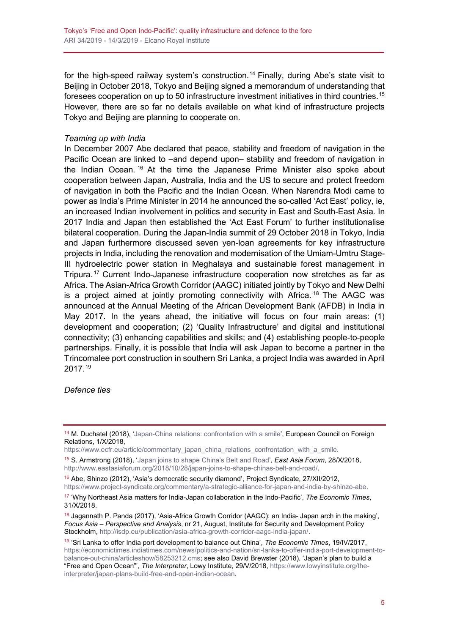for the high-speed railway system's construction.<sup>[14](#page-4-0)</sup> Finally, during Abe's state visit to Beijing in October 2018, Tokyo and Beijing signed a memorandum of understanding that foresees cooperation on up to 50 infrastructure investment initiatives in third countries.<sup>[15](#page-4-1)</sup> However, there are so far no details available on what kind of infrastructure projects Tokyo and Beijing are planning to cooperate on.

#### *Teaming up with India*

In December 2007 Abe declared that peace, stability and freedom of navigation in the Pacific Ocean are linked to –and depend upon– stability and freedom of navigation in the Indian Ocean. [16](#page-4-2) At the time the Japanese Prime Minister also spoke about cooperation between Japan, Australia, India and the US to secure and protect freedom of navigation in both the Pacific and the Indian Ocean. When Narendra Modi came to power as India's Prime Minister in 2014 he announced the so-called 'Act East' policy, ie, an increased Indian involvement in politics and security in East and South-East Asia. In 2017 India and Japan then established the 'Act East Forum' to further institutionalise bilateral cooperation. During the Japan-India summit of 29 October 2018 in Tokyo, India and Japan furthermore discussed seven yen-loan agreements for key infrastructure projects in India, including the renovation and modernisation of the Umiam-Umtru Stage-III hydroelectric power station in Meghalaya and sustainable forest management in Tripura. [17](#page-4-3) Current Indo-Japanese infrastructure cooperation now stretches as far as Africa. The Asian-Africa Growth Corridor (AAGC) initiated jointly by Tokyo and New Delhi is a project aimed at jointly promoting connectivity with Africa.  $18$  The AAGC was announced at the Annual Meeting of the African Development Bank (AFDB) in India in May 2017. In the years ahead, the initiative will focus on four main areas: (1) development and cooperation; (2) 'Quality Infrastructure' and digital and institutional connectivity; (3) enhancing capabilities and skills; and (4) establishing people-to-people partnerships. Finally, it is possible that India will ask Japan to become a partner in the Trincomalee port construction in southern Sri Lanka, a project India was awarded in April 2017.[19](#page-4-5)

#### *Defence ties*

<span id="page-4-0"></span><sup>&</sup>lt;sup>14</sup> M. Duchatel (2018), ['Japan-China relations: confrontation with](https://www.ecfr.eu/article/commentary_japan_china_relations_confrontation_with_a_smile) a smile', European Council on Foreign Relations, 1/X/2018,

[https://www.ecfr.eu/article/commentary\\_japan\\_china\\_relations\\_confrontation\\_with\\_a\\_smile.](https://www.ecfr.eu/article/commentary_japan_china_relations_confrontation_with_a_smile)

<span id="page-4-1"></span><sup>15</sup> S. Armstrong (2018), ['Japan joins to shape China's Belt and Road'](http://www.eastasiaforum.org/2018/10/28/japan-joins-to-shape-chinas-belt-and-road/), *East Asia Forum*, 28/X/2018, [http://www.eastasiaforum.org/2018/10/28/japan-joins-to-shape-chinas-belt-and-road/.](http://www.eastasiaforum.org/2018/10/28/japan-joins-to-shape-chinas-belt-and-road/)

<span id="page-4-2"></span><sup>&</sup>lt;sup>16</sup> Abe, Shinzo (2012), 'Asia's democratic security diamond', Project Syndicate, 27/XII/2012, [https://www.project-syndicate.org/commentary/a-strategic-alliance-for-japan-and-india-by-shinzo-abe.](https://www.project-syndicate.org/commentary/a-strategic-alliance-for-japan-and-india-by-shinzo-abe)

<span id="page-4-3"></span><sup>17</sup> 'Why Northeast Asia matters for India-Japan collaboration in the Indo-Pacific', *The Economic Times*, 31/X/2018.

<span id="page-4-4"></span><sup>&</sup>lt;sup>18</sup> Jagannath P. Panda (2017), 'Asia-Africa Growth Corridor (AAGC): an India- Japan arch in the making', *Focus Asia – Perspective and Analysis*, nr 21, August, Institute for Security and Development Policy Stockholm, [http://isdp.eu/publication/asia-africa-growth-corridor-aagc-india-japan/.](http://isdp.eu/publication/asia-africa-growth-corridor-aagc-india-japan/)

<span id="page-4-5"></span><sup>19</sup> 'Sri Lanka to offer India port development to balance out China', *The Economic Times*, 19/IV/2017, [https://economictimes.indiatimes.com/news/politics-and-nation/sri-lanka-to-offer-india-port-development-to](https://economictimes.indiatimes.com/news/politics-and-nation/sri-lanka-to-offer-india-port-development-to-balance-out-china/articleshow/58253212.cms)[balance-out-china/articleshow/58253212.cms;](https://economictimes.indiatimes.com/news/politics-and-nation/sri-lanka-to-offer-india-port-development-to-balance-out-china/articleshow/58253212.cms) see also David Brewster (2018), 'Japan's plan to build a "Free and Open Ocean"', *The Interpreter*, Lowy Institute, 29/V/2018, [https://www.lowyinstitute.org/the](https://www.lowyinstitute.org/the-interpreter/japan-plans-build-free-and-open-indian-ocean)[interpreter/japan-plans-build-free-and-open-indian-ocean.](https://www.lowyinstitute.org/the-interpreter/japan-plans-build-free-and-open-indian-ocean)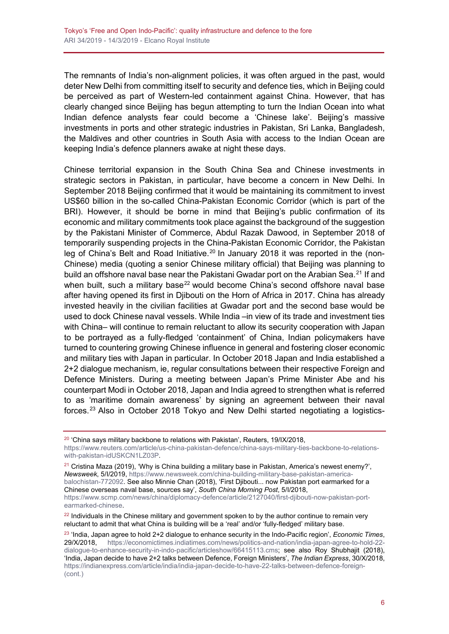The remnants of India's non-alignment policies, it was often argued in the past, would deter New Delhi from committing itself to security and defence ties, which in Beijing could be perceived as part of Western-led containment against China. However, that has clearly changed since Beijing has begun attempting to turn the Indian Ocean into what Indian defence analysts fear could become a 'Chinese lake'. Beijing's massive investments in ports and other strategic industries in Pakistan, Sri Lanka, Bangladesh, the Maldives and other countries in South Asia with access to the Indian Ocean are keeping India's defence planners awake at night these days.

Chinese territorial expansion in the South China Sea and Chinese investments in strategic sectors in Pakistan, in particular, have become a concern in New Delhi. In September 2018 Beijing confirmed that it would be maintaining its commitment to invest US\$60 billion in the so-called China-Pakistan Economic Corridor (which is part of the BRI). However, it should be borne in mind that Beijing's public confirmation of its economic and military commitments took place against the background of the suggestion by the Pakistani Minister of Commerce, Abdul Razak Dawood, in September 2018 of temporarily suspending projects in the China-Pakistan Economic Corridor, the Pakistan leg of China's Belt and Road Initiative.<sup>[20](#page-5-0)</sup> In January 2018 it was reported in the (non-Chinese) media (quoting a senior Chinese military official) that Beijing was planning to build an offshore naval base near the Pakistani Gwadar port on the Arabian Sea.<sup>[21](#page-5-1)</sup> If and when built, such a military base<sup>[22](#page-5-2)</sup> would become China's second offshore naval base after having opened its first in Djibouti on the Horn of Africa in 2017. China has already invested heavily in the civilian facilities at Gwadar port and the second base would be used to dock Chinese naval vessels. While India –in view of its trade and investment ties with China– will continue to remain reluctant to allow its security cooperation with Japan to be portrayed as a fully-fledged 'containment' of China, Indian policymakers have turned to countering growing Chinese influence in general and fostering closer economic and military ties with Japan in particular. In October 2018 Japan and India established a 2+2 dialogue mechanism, ie, regular consultations between their respective Foreign and Defence Ministers. During a meeting between Japan's Prime Minister Abe and his counterpart Modi in October 2018, Japan and India agreed to strengthen what is referred to as 'maritime domain awareness' by signing an agreement between their naval forces.[23](#page-5-3) Also in October 2018 Tokyo and New Delhi started negotiating a logistics-

<span id="page-5-0"></span> $20$  'China says military backbone to relations with Pakistan', Reuters, 19/IX/2018,

[https://www.reuters.com/article/us-china-pakistan-defence/china-says-military-ties-backbone-to-relations](https://www.reuters.com/article/us-china-pakistan-defence/china-says-military-ties-backbone-to-relations-with-pakistan-idUSKCN1LZ03P)[with-pakistan-idUSKCN1LZ03P.](https://www.reuters.com/article/us-china-pakistan-defence/china-says-military-ties-backbone-to-relations-with-pakistan-idUSKCN1LZ03P)

<span id="page-5-1"></span><sup>&</sup>lt;sup>21</sup> Cristina Maza (2019), 'Why is China building a military base in Pakistan, America's newest enemy?', *Newsweek*, 5/I/2019, [https://www.newsweek.com/china-building-military-base-pakistan-america](https://www.newsweek.com/china-building-military-base-pakistan-america-balochistan-772092)[balochistan-772092.](https://www.newsweek.com/china-building-military-base-pakistan-america-balochistan-772092) See also Minnie Chan (2018), 'First Djibouti... now Pakistan port earmarked for a Chinese overseas naval base, sources say', *South China Morning Post*, 5/I/2018, [https://www.scmp.com/news/china/diplomacy-defence/article/2127040/first-djibouti-now-pakistan-port](https://www.scmp.com/news/china/diplomacy-defence/article/2127040/first-djibouti-now-pakistan-port-earmarked-chinese)[earmarked-chinese.](https://www.scmp.com/news/china/diplomacy-defence/article/2127040/first-djibouti-now-pakistan-port-earmarked-chinese)

<span id="page-5-2"></span> $22$  Individuals in the Chinese military and government spoken to by the author continue to remain very reluctant to admit that what China is building will be a 'real' and/or 'fully-fledged' military base.

<span id="page-5-3"></span><sup>23</sup> 'India, Japan agree to hold 2+2 dialogue to enhance security in the Indo-Pacific region', *Economic Times*, [https://economictimes.indiatimes.com/news/politics-and-nation/india-japan-agree-to-hold-22](https://economictimes.indiatimes.com/news/politics-and-nation/india-japan-agree-to-hold-22-dialogue-to-enhance-security-in-indo-pacific/articleshow/66415113.cms) [dialogue-to-enhance-security-in-indo-pacific/articleshow/66415113.cms;](https://economictimes.indiatimes.com/news/politics-and-nation/india-japan-agree-to-hold-22-dialogue-to-enhance-security-in-indo-pacific/articleshow/66415113.cms) see also Roy Shubhajit (2018), 'India, Japan decide to have 2+2 talks between Defence, Foreign Ministers', *The Indian Express*, 30/X/2018, [https://indianexpress.com/article/india/india-japan-decide-to-have-22-talks-between-defence-foreign-](https://indianexpress.com/article/india/india-japan-decide-to-have-22-talks-between-defence-foreign-ministers-5424430/) (cont.)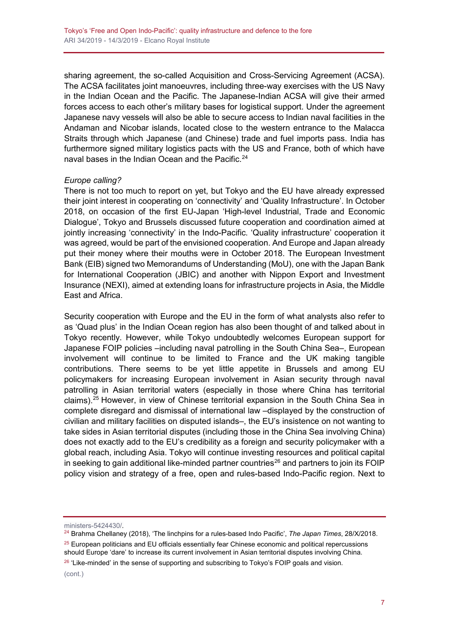sharing agreement, the so-called Acquisition and Cross-Servicing Agreement (ACSA). The ACSA facilitates joint manoeuvres, including three-way exercises with the US Navy in the Indian Ocean and the Pacific. The Japanese-Indian ACSA will give their armed forces access to each other's military bases for logistical support. Under the agreement Japanese navy vessels will also be able to secure access to Indian naval facilities in the Andaman and Nicobar islands, located close to the western entrance to the Malacca Straits through which Japanese (and Chinese) trade and fuel imports pass. India has furthermore signed military logistics pacts with the US and France, both of which have naval bases in the Indian Ocean and the Pacific.<sup>[24](#page-6-0)</sup>

### *Europe calling?*

There is not too much to report on yet, but Tokyo and the EU have already expressed their joint interest in cooperating on 'connectivity' and 'Quality Infrastructure'. In October 2018, on occasion of the first EU-Japan 'High-level Industrial, Trade and Economic Dialogue', Tokyo and Brussels discussed future cooperation and coordination aimed at jointly increasing 'connectivity' in the Indo-Pacific. 'Quality infrastructure' cooperation it was agreed, would be part of the envisioned cooperation. And Europe and Japan already put their money where their mouths were in October 2018. The European Investment Bank (EIB) signed two Memorandums of Understanding (MoU), one with the Japan Bank for International Cooperation (JBIC) and another with Nippon Export and Investment Insurance (NEXI), aimed at extending loans for infrastructure projects in Asia, the Middle East and Africa.

Security cooperation with Europe and the EU in the form of what analysts also refer to as 'Quad plus' in the Indian Ocean region has also been thought of and talked about in Tokyo recently. However, while Tokyo undoubtedly welcomes European support for Japanese FOIP policies –including naval patrolling in the South China Sea–, European involvement will continue to be limited to France and the UK making tangible contributions. There seems to be yet little appetite in Brussels and among EU policymakers for increasing European involvement in Asian security through naval patrolling in Asian territorial waters (especially in those where China has territorial claims)[.25](#page-6-1) However, in view of Chinese territorial expansion in the South China Sea in complete disregard and dismissal of international law –displayed by the construction of civilian and military facilities on disputed islands–, the EU's insistence on not wanting to take sides in Asian territorial disputes (including those in the China Sea involving China) does not exactly add to the EU's credibility as a foreign and security policymaker with a global reach, including Asia. Tokyo will continue investing resources and political capital in seeking to gain additional like-minded partner countries<sup>[26](#page-6-2)</sup> and partners to join its FOIP policy vision and strategy of a free, open and rules-based Indo-Pacific region. Next to

<span id="page-6-2"></span> $26$  'Like-minded' in the sense of supporting and subscribing to Tokyo's FOIP goals and vision.

[ministers-5424430/.](https://indianexpress.com/article/india/india-japan-decide-to-have-22-talks-between-defence-foreign-ministers-5424430/)

<span id="page-6-0"></span><sup>24</sup> Brahma Chellaney (2018), 'The linchpins for a rules-based Indo Pacific', *The Japan Times*, 28/X/2018.

<span id="page-6-1"></span> $25$  European politicians and EU officials essentially fear Chinese economic and political repercussions should Europe 'dare' to increase its current involvement in Asian territorial disputes involving China.

<sup>(</sup>cont.)